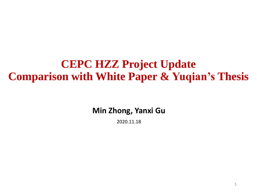# **CEPC HZZ Project Update Comparison with White Paper & Yuqian's Thesis**

**Min Zhong, Yanxi Gu**

2020.11.18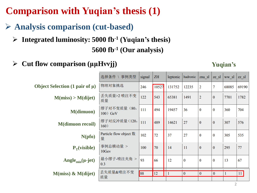# **Comparison with Yuqian's thesis (1)**

- ➢ **Analysis comparison (cut-based)**
	- **5600 fb-1 (Our analysis)** ➢ **Integrated luminosity: 5000 fb-1 (Yuqian's thesis)**
	- ➢ **Cut flow comparison (μμHννjj) Yuqian's**

|                                             | 选择条件 \ 事例类型                 | signal | ZH    | leptonic | hadronic | znu sl         | ze sl    | ww sl | zz sl |
|---------------------------------------------|-----------------------------|--------|-------|----------|----------|----------------|----------|-------|-------|
| Object Selection $(1 \text{ pair of } \mu)$ | 物理对象挑选                      | 246    | 10527 | 131752   | 12235    | $\overline{2}$ | 7        | 68085 | 69190 |
| M(miss) > M(dijet)                          | 丢失质量>2 喷注不变<br>质量           | 122    | 543   | 65381    | 1491     | $\overline{2}$ | $\bf{0}$ | 7701  | 1782  |
| <b>M(dimuon)</b>                            | 缪子对不变质量 (80,<br>100) GeV    | 111    | 494   | 19457    | 36       | $\bf{0}$       | $\bf{0}$ | 360   | 704   |
| <b>M</b> (dimuon recoil)                    | 缪子对反冲质量(120,<br>160)        | 111    | 489   | 14621    | 27       | $\mathbf{0}$   | $\bf{0}$ | 307   | 576   |
| N(pfo)                                      | Particle flow object 数<br>量 | 102    | 72    | 37       | 27       | $\bf{0}$       | $\bf{0}$ | 305   | 535   |
| $P_T(visible)$                              | 事例总横动量 ><br>10Gev           | 100    | 70    | 14       | 11       | $\bf{0}$       | $\bf{0}$ | 295   | 77    |
| Angle $_{\text{min}}(\mu\text{-jet})$       | 最小缪子-喷注夹角 ><br>0.3          | 93     | 66    | 12       | $\bf{0}$ | $\bf{0}$       | $\bf{0}$ | 13    | 67    |
| $M(miss)$ & $M(dijet)$                      | 丢失质量&喷注不变<br>质量             | 88     | 12    |          | $\bf{0}$ | $\bf{0}$       | $\bf{0}$ |       | 11    |
|                                             |                             |        |       |          |          |                |          |       |       |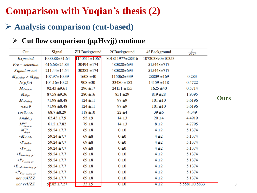# **Comparison with Yuqian's thesis (2)**

## ➢ **Analysis comparison (cut-based)**

### ➢ **Cut flow comparison (μμHννjj) continue**

| Cut                                  | Signal              | <b>ZH Background</b> | 2f Background    | 4f Background   | $rac{S}{\sqrt{S+B}}$ |  |
|--------------------------------------|---------------------|----------------------|------------------|-----------------|----------------------|--|
| Expected                             | $1000.88 \pm 31.64$ | $1140511 \pm 1067$   | 801811977±28316  | 107203890±10353 |                      |  |
| $Pre-selectron$                      | $616.68 \pm 24.83$  | $30494 \pm 174$      | 480828±693       | 515448±717      |                      |  |
| Signal or not                        | $211.44 \pm 14.54$  | $30282 \pm 174$      | $480828 \pm 693$ | 515448±717      |                      |  |
| $M_{missing} > M_{dijet}$            | $107.97 \pm 10.39$  | $1608 \pm 40$        | $115062 \pm 339$ | $28809 \pm 169$ | 0.283                |  |
| N(pfo)                               | $104.16 \pm 10.21$  | $908 \pm 30$         | $33480 \pm 182$  | $14159 \pm 118$ | 0.4722               |  |
| $M_{dimuon}$                         | $92.43 \pm 9.61$    | $296 \pm 17$         | $24151 \pm 155$  | $1625 \pm 40$   | 0.5714               |  |
| $M_{dijet}$                          | $87.58 \pm 9.36$    | $280 \pm 16$         | $851 + 29$       | $819 + 28$      | 1.9395               |  |
| $M_{missing}$                        | $71.98 \pm 8.48$    | $124 \pm 11$         | $97 + 9$         | $101 \pm 10$    | 3.6196               |  |
| $*cos \theta$                        | $71.98 \pm 8.48$    | $124 \pm 11$         | $97 + 9$         | $101 \pm 10$    | 3.6196               |  |
| $cos\theta_{visible}$                | $68.7 \pm 8.29$     | $118 \pm 10$         | $22 \pm 4$       | $39 + 6$        | 4.349                |  |
| $Angle_{\mu}$                        | $62.43 \pm 7.9$     | $95 \pm 9$           | $14 \pm 3$       | $20 \pm 4$      | 4.4919               |  |
| $M_{dimuon}^{rec}$                   | $61.2 \pm 7.82$     | $79 + 8$             | $14 \pm 3$       | $8 \pm 2$       | 4.7795               |  |
| $M_{dijet}^{rec}$                    | $59.24 \pm 7.7$     | $69 \pm 8$           | $0 \pm 0$        | $4\pm 2$        | 5.1374               |  |
| $*M_{visible}$                       | $59.24 \pm 7.7$     | $69 \pm 8$           | $0 \pm 0$        | 4±2             | 5.1374               |  |
| $*P_{visible}$                       | $59.24 \pm 7.7$     | $69 \pm 8$           | $0 \pm 0$        | 4±2             | 5.1374               |  |
| $*P_{T_{visible}}$                   | $59.24 \pm 7.7$     | $69 \pm 8$           | $0 \pm 0$        | $4\pm 2$        | 5.1374               |  |
| $*E_{leading\ jet}$                  | $59.24 \pm 7.7$     | $69 \pm 8$           | $0 \pm 0$        | 4±2             | 5.1374               |  |
| $*P_{T_{leading\ jet}}$              | $59.24 \pm 7.7$     | $69 \pm 8$           | $0 \pm 0$        | 4±2             | 5.1374               |  |
| $*E$ <sub>sub-leading jet</sub>      | $59.24 \pm 7.7$     | $69 \pm 8$           | $0 \pm 0$        | $4\pm 2$        | 5.1374               |  |
| $*P_{T_{\textit{sub}-leading\_jet}}$ | $59.24 \pm 7.7$     | $69 \pm 8$           | $0 \pm 0$        | $4\pm 2$        | 5.1374               |  |
| not qqHZZ                            | $59.24 \pm 7.7$     | $69 \pm 8$           | $0 \pm 0$        | $4\pm 2$        | 5.1374               |  |
| not vvHZZ                            | $52.85 \pm 7.27$    | $33 \pm 5$           | $0 \pm 0$        | $4\pm 2$        | $5.5581 \pm 0.5833$  |  |

**Ours**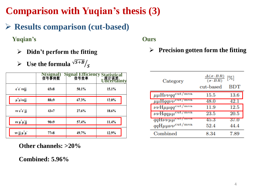# **Comparison with Yuqian's thesis (3)**

➢ **Results comparison (cut-based)**

**Yuqian's**

- ➢ **Didn't perform the fitting**
- $\triangleright$  Use the formula  $\sqrt{S+B}/s$

|                                      | N(signal)<br>信号事例数 | Signal Efficiency Sta | ical<br>· 表<br>ertainty |
|--------------------------------------|--------------------|-----------------------|-------------------------|
| $e^+e^-$ vvjj                        | $65 + 8$           | 50.1%                 | 15.1%                   |
| $\mu^* \mu^*$ vvjj                   | $88 + 9$           | 67.3%                 | $12.0\%$                |
| vv e <sup>+</sup> e <sup>-</sup> jj  | $43+7$             | 27.6%                 | 18.6%                   |
| $vv \mu^{\dagger} \mu^{\dagger} j j$ | $90+9$             | 57.4%                 | 11.4%                   |
| vv jj $\mu^{\dagger} \mu^{\dagger}$  | $77 + 8$           | 49.7%                 | 12.9%                   |

**Other channels: >20%**

**Combined: 5.96%**

**Ours**

### ➢ **Precision gotten form the fitting**

| Category                                               | $\Delta(\sigma \cdot BR)$<br>[%]<br>$(\sigma \cdot BR)$ |              |  |  |
|--------------------------------------------------------|---------------------------------------------------------|--------------|--|--|
|                                                        | cut-based                                               | $_{\rm BDT}$ |  |  |
| $\mu\mu H\nu\nu qq^{\rm cut/mva}$                      | 15.5                                                    | 13.6         |  |  |
| $\mu\mu H q q \nu \nu^{\text{cut}/\max}$               | 48.0                                                    | 42.1         |  |  |
| $\nu\nu$ H $\mu\mu qq^{\rm cut/mva}$                   | 11.9                                                    | 12.5         |  |  |
| $\nu\nu\text{H}qq\mu\mu^{\text{cut}/\text{mva}}$       | 23.5                                                    | 20.5         |  |  |
| $qqH\nu\nu\mu\mu^{cut}$<br>mva                         | 45.3                                                    | 37.0         |  |  |
| $qq\mathrm{H}\mu\mu\nu\nu^{\mathrm{cut}/\mathrm{mva}}$ | 52.4                                                    | 44.4         |  |  |
| Combined                                               | 8.34                                                    | 7.89         |  |  |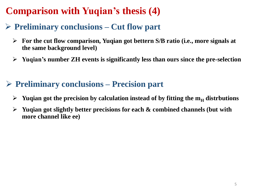# **Comparison with Yuqian's thesis (4)**

## ➢ **Preliminary conclusions – Cut flow part**

- ➢ **For the cut flow comparison, Yuqian got bettern S/B ratio (i.e., more signals at the same background level)**
- ➢ **Yuqian's number ZH events is significantly less than ours since the pre-selection**

## ➢ **Preliminary conclusions – Precision part**

- $\triangleright$  Yuqian got the precision by calculation instead of by fitting the  $m_H$  distrbutions
- ➢ **Yuqian got slightly better precisions for each & combined channels (but with more channel like ee)**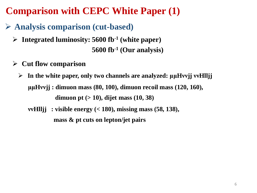# **Comparison with CEPC White Paper (1)**

- ➢ **Analysis comparison (cut-based)**
	- **5600 fb-1 (Our analysis)** ➢ **Integrated luminosity: 5600 fb-1 (white paper)**
	- ➢ **Cut flow comparison**
		- ➢ **In the white paper, only two channels are analyzed: μμHννjj ννHlljj μμHννjj : dimuon mass (80, 100), dimuon recoil mass (120, 160), dimuon pt (> 10), dijet mass (10, 38)** 
			- **ννHlljj : visible energy (< 180), missing mass (58, 138), mass & pt cuts on lepton/jet pairs**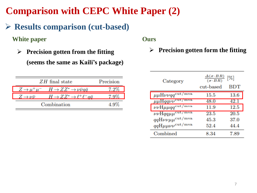## **Comparison with CEPC White Paper (2)**

## ➢ **Results comparison (cut-based)**

### **White paper**

➢ **Precision gotten from the fitting (seems the same as Kaili's package)**

| $ZH$ final state                                                | Precision |
|-----------------------------------------------------------------|-----------|
| $Z \to \mu^+\mu^- \quad H \to ZZ^* \to \nu\bar{\nu}q\bar{q}$    |           |
| $Z \to \nu \bar{\nu}$ $H \to Z Z^* \to \ell^+ \ell^- a \bar{a}$ |           |
| Combination                                                     | $4.9\%$   |

**Ours**

### ➢ **Precision gotten form the fitting**

| Category                                               | $\Delta(\sigma \cdot BR)$<br>[%]<br>$(\sigma \cdot BR)$ |              |  |  |
|--------------------------------------------------------|---------------------------------------------------------|--------------|--|--|
|                                                        | cut-based                                               | $_{\rm BDT}$ |  |  |
| $\mu\mu H\nu\nu qq^{\rm cut/mva}$                      | 15.5                                                    | 13.6         |  |  |
| $\mu\mu$ Hqqv $\nu^{\text{cut}/\max}$                  | 48.0                                                    | 42.1         |  |  |
| $\nu\nu$ H $\mu\mu qq^{\rm cut/mva}$                   | 11.9                                                    | 12.5         |  |  |
| $\nu\nu\text{H}qq\mu\mu^{\text{cut}/\text{mva}}$       | 23.5                                                    | 20.5         |  |  |
| $qqH\nu\nu\mu\mu^{\rm cut/mva}$                        | 45.3                                                    | 37.0         |  |  |
| $qq\mathrm{H}\mu\mu\nu\nu^{\mathrm{cut}/\mathrm{mva}}$ | 52.4                                                    | 44.4         |  |  |
| Combined                                               | 8.34                                                    | 7.89         |  |  |